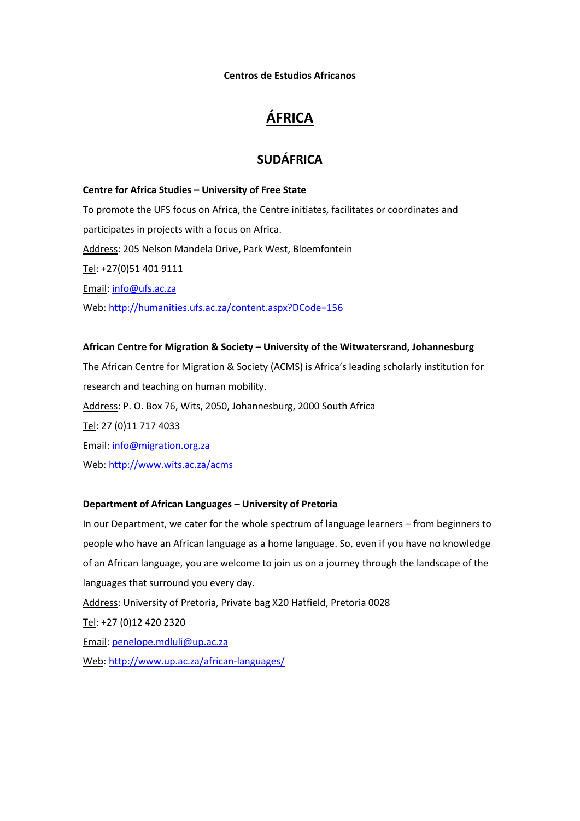**Centros de Estudios Africanos**

# **ÁFRICA**

# **SUDÁFRICA**

**Centre for Africa Studies – University of Free State** To promote the UFS focus on Africa, the Centre initiates, facilitates or coordinates and participates in projects with a focus on Africa. Address: 205 Nelson Mandela Drive, Park West, Bloemfontein Tel: +27(0)51 401 9111 Email: [info@ufs.ac.za](mailto:info@ufs.ac.za) Web[: http://humanities.ufs.ac.za/content.aspx?DCode=156](http://humanities.ufs.ac.za/content.aspx?DCode=156)

#### **African Centre for Migration & Society – University of the Witwatersrand, Johannesburg**

The African Centre for Migration & Society (ACMS) is Africa's leading scholarly institution for research and teaching on human mobility.

Address: P. O. Box 76, Wits, 2050, Johannesburg, 2000 South Africa

Tel: 27 (0)11 717 4033

Email: [info@migration.org.za](mailto:info@migration.org.za)

Web[: http://www.wits.ac.za/acms](http://www.wits.ac.za/acms)

#### **Department of African Languages – University of Pretoria**

In our Department, we cater for the whole spectrum of language learners – from beginners to people who have an African language as a home language. So, even if you have no knowledge of an African language, you are welcome to join us on a journey through the landscape of the languages that surround you every day. Address: University of Pretoria, Private bag X20 Hatfield, Pretoria 0028

Tel: +27 (0)12 420 2320

Email: [penelope.mdluli@up.ac.za](mailto:penelope.mdluli@up.ac.za)

Web[: http://www.up.ac.za/african-languages/](http://www.up.ac.za/african-languages/)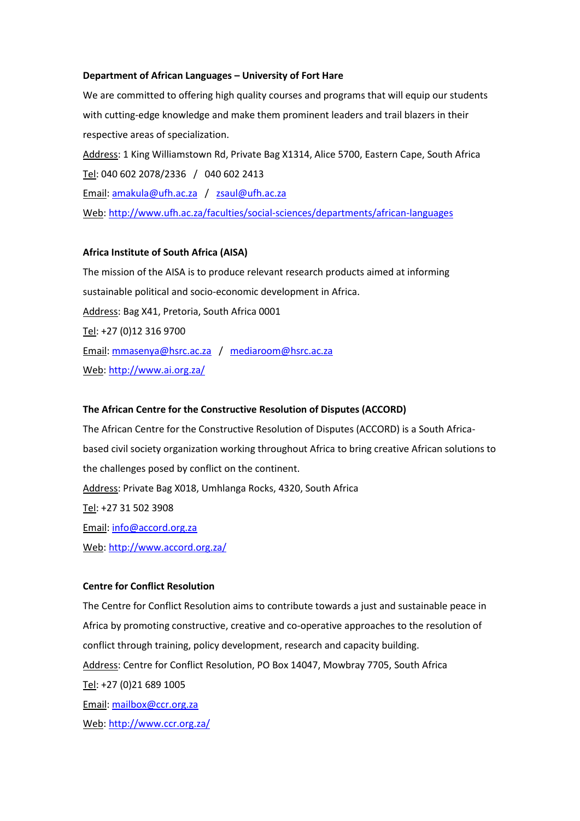#### **Department of African Languages – University of Fort Hare**

We are committed to offering high quality courses and programs that will equip our students with cutting-edge knowledge and make them prominent leaders and trail blazers in their respective areas of specialization. Address: 1 King Williamstown Rd, Private Bag X1314, Alice 5700, Eastern Cape, South Africa Tel: 040 602 2078/2336 / 040 602 2413 Email: [amakula@ufh.ac.za](mailto:amakula@ufh.ac.za) / [zsaul@ufh.ac.za](mailto:zsaul@ufh.ac.za) Web[: http://www.ufh.ac.za/faculties/social-sciences/departments/african-languages](http://www.ufh.ac.za/faculties/social-sciences/departments/african-languages)

#### **Africa Institute of South Africa (AISA)**

The mission of the AISA is to produce relevant research products aimed at informing sustainable political and socio-economic development in Africa. Address: Bag X41, Pretoria, South Africa 0001 Tel: +27 (0)12 316 9700 Email: [mmasenya@hsrc.ac.za](mailto:mletimela@ai.org.za) / [mediaroom@hsrc.ac.za](mailto:mediaroom@hsrc.ac.za) Web[: http://www.ai.org.za/](http://www.ai.org.za/)

#### **The African Centre for the Constructive Resolution of Disputes (ACCORD)**

The African Centre for the Constructive Resolution of Disputes (ACCORD) is a South Africabased civil society organization working throughout Africa to bring creative African solutions to the challenges posed by conflict on the continent. Address: Private Bag X018, Umhlanga Rocks, 4320, South Africa Tel: +27 31 502 3908 Email: [info@accord.org.za](mailto:info@accord.org.za) Web[: http://www.accord.org.za/](http://www.accord.org.za/)

#### **Centre for Conflict Resolution**

The Centre for Conflict Resolution aims to contribute towards a just and sustainable peace in Africa by promoting constructive, creative and co-operative approaches to the resolution of conflict through training, policy development, research and capacity building. Address: Centre for Conflict Resolution, PO Box 14047, Mowbray 7705, South Africa Tel: +27 (0)21 689 1005 Email: [mailbox@ccr.org.za](mailto:mailbox@ccr.org.za) Web[: http://www.ccr.org.za/](http://www.ccr.org.za/)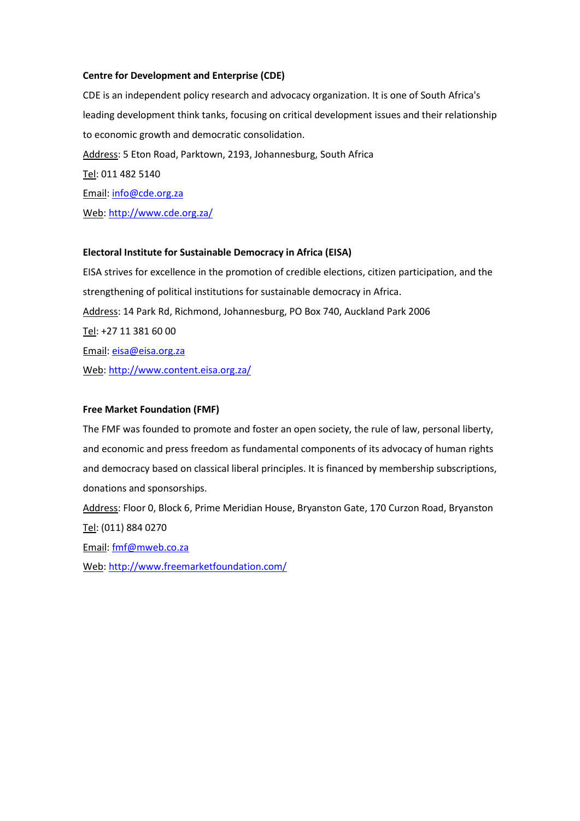### **Centre for Development and Enterprise (CDE)**

CDE is an independent policy research and advocacy organization. It is one of South Africa's leading development think tanks, focusing on critical development issues and their relationship to economic growth and democratic consolidation. Address: 5 Eton Road, Parktown, 2193, Johannesburg, South Africa Tel: 011 482 5140 Email: [info@cde.org.za](mailto:info@cde.org.za) Web[: http://www.cde.org.za/](http://www.cde.org.za/)

### **Electoral Institute for Sustainable Democracy in Africa (EISA)**

EISA strives for excellence in the promotion of credible elections, citizen participation, and the strengthening of political institutions for sustainable democracy in Africa. Address: 14 Park Rd, Richmond, Johannesburg, PO Box 740, Auckland Park 2006 Tel: +27 11 381 60 00 Email: [eisa@eisa.org.za](mailto:eisa@eisa.org.za) Web[: http://www.content.eisa.org.za/](http://www.content.eisa.org.za/)

### **Free Market Foundation (FMF)**

The FMF was founded to promote and foster an open society, the rule of law, personal liberty, and economic and press freedom as fundamental components of its advocacy of human rights and democracy based on classical liberal principles. It is financed by membership subscriptions, donations and sponsorships.

Address: Floor 0, Block 6, Prime Meridian House, Bryanston Gate, 170 Curzon Road, Bryanston Tel: (011) 884 0270

Email: [fmf@mweb.co.za](mailto:fmf@mweb.co.za)

Web[: http://www.freemarketfoundation.com/](http://www.freemarketfoundation.com/)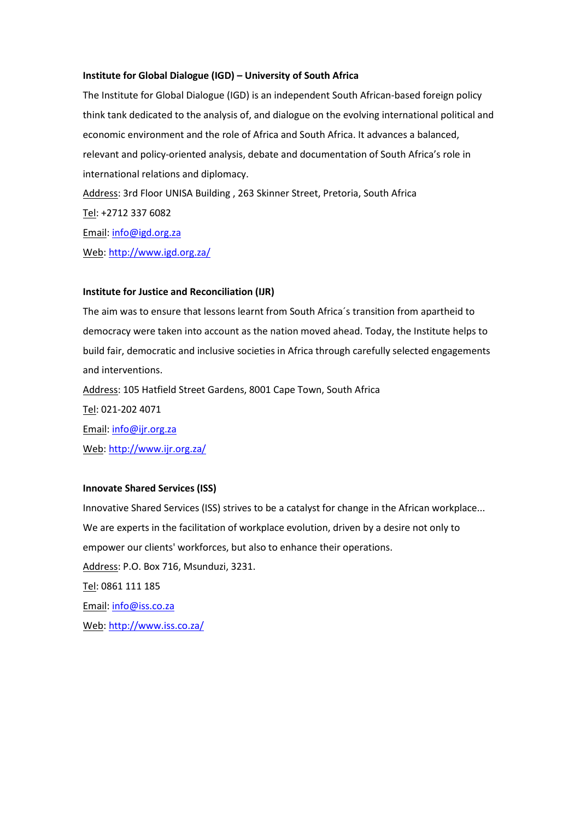#### **Institute for Global Dialogue (IGD) – University of South Africa**

The Institute for Global Dialogue (IGD) is an independent South African-based foreign policy think tank dedicated to the analysis of, and dialogue on the evolving international political and economic environment and the role of Africa and South Africa. It advances a balanced, relevant and policy-oriented analysis, debate and documentation of South Africa's role in international relations and diplomacy. Address: 3rd Floor UNISA Building , 263 Skinner Street, Pretoria, South Africa Tel: +2712 337 6082

Email: [info@igd.org.za](mailto:info@igd.org.za)

Web[: http://www.igd.org.za/](http://www.igd.org.za/)

#### **Institute for Justice and Reconciliation (IJR)**

The aim was to ensure that lessons learnt from South Africa´s transition from apartheid to democracy were taken into account as the nation moved ahead. Today, the Institute helps to build fair, democratic and inclusive societies in Africa through carefully selected engagements and interventions. Address: 105 Hatfield Street Gardens, 8001 Cape Town, South Africa Tel: 021-202 4071

Email: [info@ijr.org.za](mailto:info@ijr.org.za) Web[: http://www.ijr.org.za/](http://www.ijr.org.za/)

#### **Innovate Shared Services (ISS)**

Innovative Shared Services (ISS) strives to be a catalyst for change in the African workplace... We are experts in the facilitation of workplace evolution, driven by a desire not only to empower our clients' workforces, but also to enhance their operations. Address: P.O. Box 716, Msunduzi, 3231. Tel: 0861 111 185 Email: [info@iss.co.za](mailto:info@iss.co.za) Web[: http://www.iss.co.za/](http://www.iss.co.za/)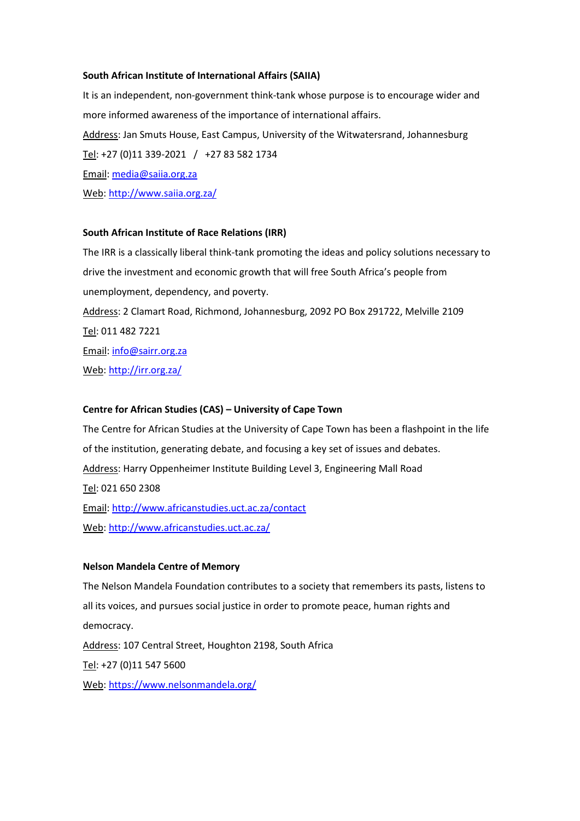#### **South African Institute of International Affairs (SAIIA)**

It is an independent, non-government think-tank whose purpose is to encourage wider and more informed awareness of the importance of international affairs. Address: Jan Smuts House, East Campus, University of the Witwatersrand, Johannesburg Tel: +27 (0)11 339-2021 / +27 83 582 1734 Email: [media@saiia.org.za](mailto:media@saiia.org.za) Web[: http://www.saiia.org.za/](http://www.saiia.org.za/)

#### **South African Institute of Race Relations (IRR)**

The IRR is a classically liberal think-tank promoting the ideas and policy solutions necessary to drive the investment and economic growth that will free South Africa's people from unemployment, dependency, and poverty. Address: 2 Clamart Road, Richmond, Johannesburg, 2092 PO Box 291722, Melville 2109 Tel: 011 482 7221 Email: [info@sairr.org.za](mailto:info@sairr.org.za) Web[: http://irr.org.za/](http://irr.org.za/)

#### **Centre for African Studies (CAS) – University of Cape Town**

The Centre for African Studies at the University of Cape Town has been a flashpoint in the life of the institution, generating debate, and focusing a key set of issues and debates. Address: Harry Oppenheimer Institute Building Level 3, Engineering Mall Road Tel: 021 650 2308 Email:<http://www.africanstudies.uct.ac.za/contact> Web[: http://www.africanstudies.uct.ac.za/](http://www.africanstudies.uct.ac.za/)

#### **Nelson Mandela Centre of Memory**

The Nelson Mandela Foundation contributes to a society that remembers its pasts, listens to all its voices, and pursues social justice in order to promote peace, human rights and democracy. Address: 107 Central Street, Houghton 2198, South Africa Tel: +27 (0)11 547 5600 Web[: https://www.nelsonmandela.org/](https://www.nelsonmandela.org/)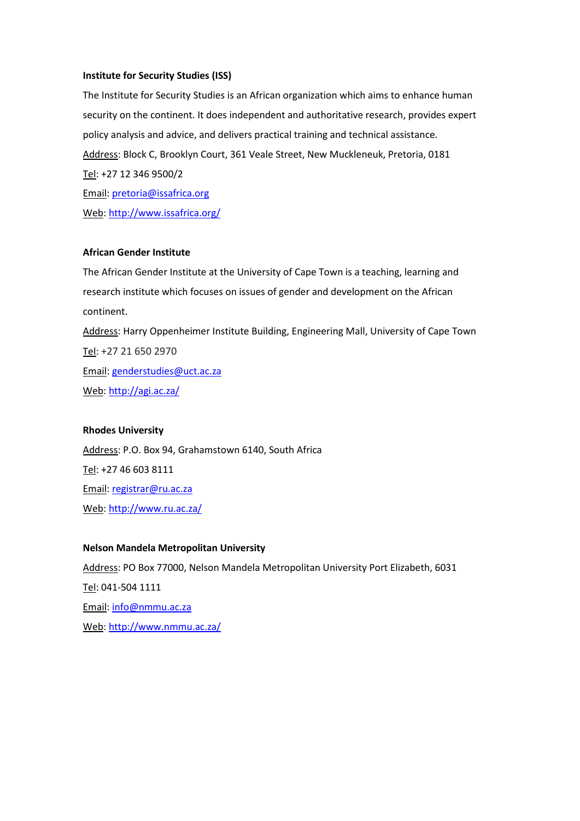#### **Institute for Security Studies (ISS)**

The Institute for Security Studies is an African organization which aims to enhance human security on the continent. It does independent and authoritative research, provides expert policy analysis and advice, and delivers practical training and technical assistance. Address: Block C, Brooklyn Court, 361 Veale Street, New Muckleneuk, Pretoria, 0181 Tel: +27 12 346 9500/2 Email: [pretoria@issafrica.org](mailto:pretoria@issafrica.org) Web[: http://www.issafrica.org/](http://www.issafrica.org/)

### **African Gender Institute**

The African Gender Institute at the University of Cape Town is a teaching, learning and research institute which focuses on issues of gender and development on the African continent. Address: Harry Oppenheimer Institute Building, Engineering Mall, University of Cape Town Tel: +27 21 650 2970 Email: [genderstudies@uct.ac.za](mailto:genderstudies@uct.ac.za)

Web[: http://agi.ac.za/](http://agi.ac.za/)

#### **Rhodes University**

Address: P.O. Box 94, Grahamstown 6140, South Africa Tel: +27 46 603 8111 Email: [registrar@ru.ac.za](mailto:registrar@ru.ac.za) Web[: http://www.ru.ac.za/](http://www.ru.ac.za/)

#### **Nelson Mandela Metropolitan University**

Address: PO Box 77000, Nelson Mandela Metropolitan University Port Elizabeth, 6031 Tel: 041-504 1111 Email: [info@nmmu.ac.za](mailto:info@nmmu.ac.za) Web[: http://www.nmmu.ac.za/](http://www.nmmu.ac.za/)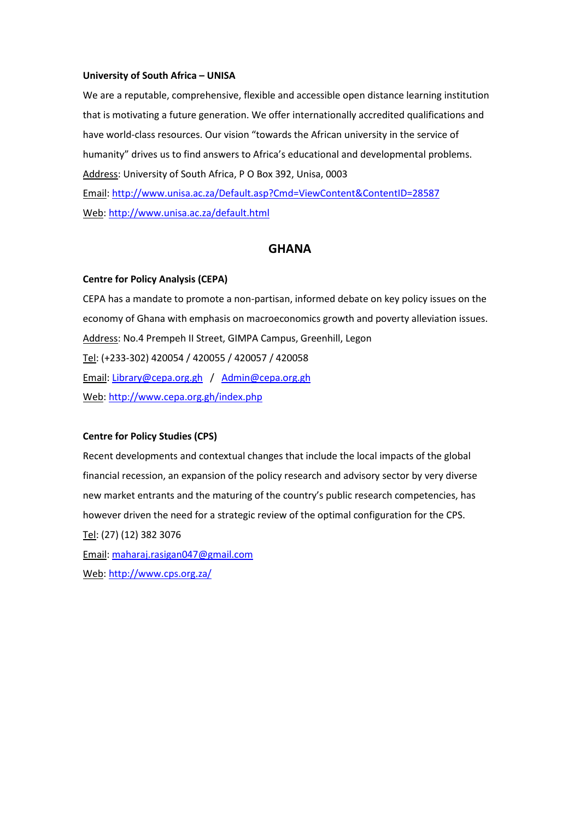#### **University of South Africa – UNISA**

We are a reputable, comprehensive, flexible and accessible open distance learning institution that is motivating a future generation. We offer internationally accredited qualifications and have world-class resources. Our vision "towards the African university in the service of humanity" drives us to find answers to Africa's educational and developmental problems. Address: University of South Africa, P O Box 392, Unisa, 0003 Email:<http://www.unisa.ac.za/Default.asp?Cmd=ViewContent&ContentID=28587> Web[: http://www.unisa.ac.za/default.html](http://www.unisa.ac.za/default.html)

# **GHANA**

#### **Centre for Policy Analysis (CEPA)**

CEPA has a mandate to promote a non-partisan, informed debate on key policy issues on the economy of Ghana with emphasis on macroeconomics growth and poverty alleviation issues. Address: No.4 Prempeh II Street, GIMPA Campus, Greenhill, Legon Tel: (+233-302) 420054 / 420055 / 420057 / 420058 Email: [Library@cepa.org.gh](mailto:Library@cepa.org.gh) / [Admin@cepa.org.gh](mailto:Admin@cepa.org.gh) Web[: http://www.cepa.org.gh/index.php](http://www.cepa.org.gh/index.php)

#### **Centre for Policy Studies (CPS)**

Recent developments and contextual changes that include the local impacts of the global financial recession, an expansion of the policy research and advisory sector by very diverse new market entrants and the maturing of the country's public research competencies, has however driven the need for a strategic review of the optimal configuration for the CPS. Tel: (27) (12) 382 3076 Email: [maharaj.rasigan047@gmail.com](mailto:maharaj.rasigan047@gmail.com) Web[: http://www.cps.org.za/](http://www.cps.org.za/)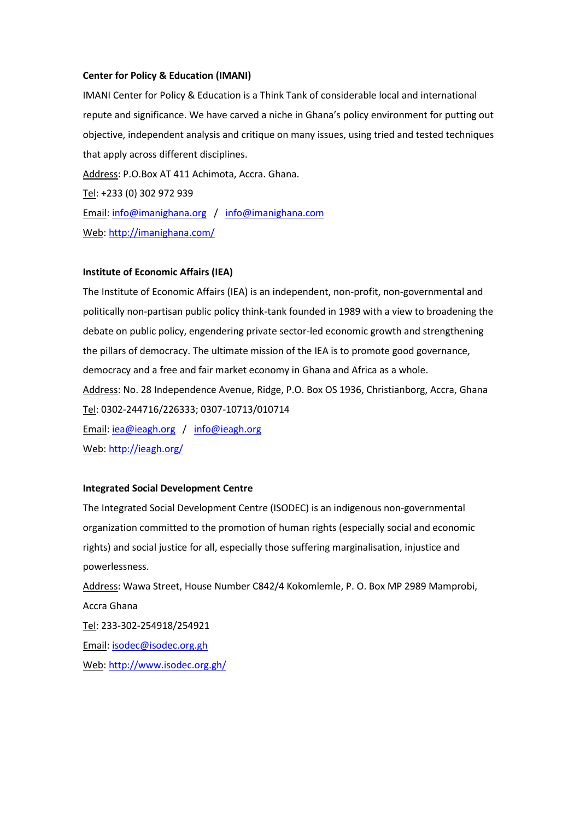#### **Center for Policy & Education (IMANI)**

IMANI Center for Policy & Education is a Think Tank of considerable local and international repute and significance. We have carved a niche in Ghana's policy environment for putting out objective, independent analysis and critique on many issues, using tried and tested techniques that apply across different disciplines. Address: P.O.Box AT 411 Achimota, Accra. Ghana. Tel: +233 (0) 302 972 939 Email: [info@imanighana.org](mailto:info@imanighana.org) / [info@imanighana.com](mailto:info@imanighana.com)

Web[: http://imanighana.com/](http://imanighana.com/)

#### **Institute of Economic Affairs (IEA)**

The Institute of Economic Affairs (IEA) is an independent, non-profit, non-governmental and politically non-partisan public policy think-tank founded in 1989 with a view to broadening the debate on public policy, engendering private sector-led economic growth and strengthening the pillars of democracy. The ultimate mission of the IEA is to promote good governance, democracy and a free and fair market economy in Ghana and Africa as a whole. Address: No. 28 Independence Avenue, Ridge, P.O. Box OS 1936, Christianborg, Accra, Ghana Tel: 0302-244716/226333; 0307-10713/010714 Email: [iea@ieagh.org](mailto:iea@ieagh.org) / [info@ieagh.org](mailto:info@ieagh.org) Web[: http://ieagh.org/](http://ieagh.org/)

#### **Integrated Social Development Centre**

The Integrated Social Development Centre (ISODEC) is an indigenous non-governmental organization committed to the promotion of human rights (especially social and economic rights) and social justice for all, especially those suffering marginalisation, injustice and powerlessness.

Address: Wawa Street, House Number C842/4 Kokomlemle, P. O. Box MP 2989 Mamprobi, Accra Ghana Tel: 233-302-254918/254921 Email: [isodec@isodec.org.gh](mailto:isodec@isodec.org.gh) Web[: http://www.isodec.org.gh/](http://www.isodec.org.gh/)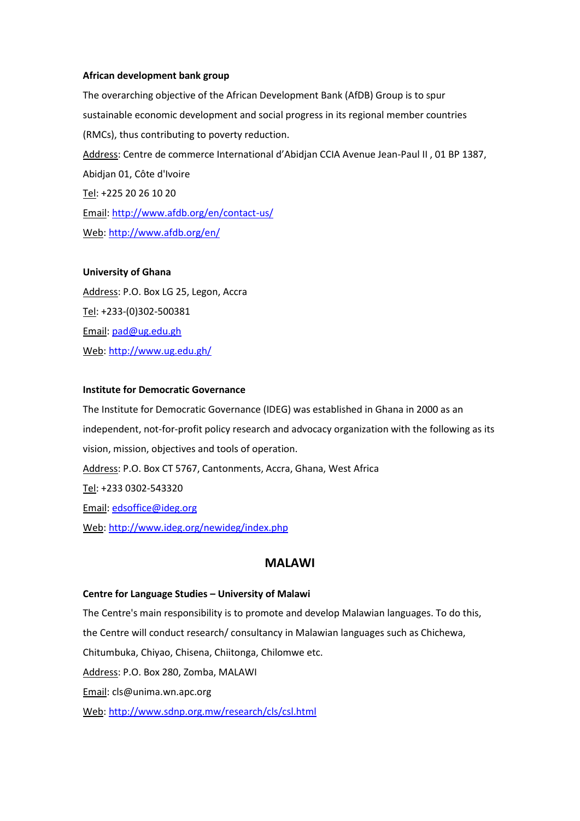#### **African development bank group**

The overarching objective of the African Development Bank (AfDB) Group is to spur sustainable economic development and social progress in its regional member countries (RMCs), thus contributing to poverty reduction. Address: Centre de commerce International d'Abidjan CCIA Avenue Jean-Paul II , 01 BP 1387, Abidjan 01, Côte d'Ivoire Tel: +225 20 26 10 20 Email:<http://www.afdb.org/en/contact-us/> Web[: http://www.afdb.org/en/](http://www.afdb.org/en/)

#### **University of Ghana**

Address: P.O. Box LG 25, Legon, Accra Tel: +233-(0)302-500381 Email: [pad@ug.edu.gh](mailto:pad@ug.edu.gh) Web[: http://www.ug.edu.gh/](http://www.ug.edu.gh/)

#### **Institute for Democratic Governance**

The Institute for Democratic Governance (IDEG) was established in Ghana in 2000 as an independent, not-for-profit policy research and advocacy organization with the following as its vision, mission, objectives and tools of operation. Address: P.O. Box CT 5767, Cantonments, Accra, Ghana, West Africa Tel: +233 0302-543320 Email: [edsoffice@ideg.org](mailto:edsoffice@ideg.org) Web[: http://www.ideg.org/newideg/index.php](http://www.ideg.org/newideg/index.php)

# **MALAWI**

#### **Centre for Language Studies – University of Malawi**

The Centre's main responsibility is to promote and develop Malawian languages. To do this, the Centre will conduct research/ consultancy in Malawian languages such as Chichewa, Chitumbuka, Chiyao, Chisena, Chiitonga, Chilomwe etc. Address: P.O. Box 280, Zomba, MALAWI Email: cls@unima.wn.apc.org Web[: http://www.sdnp.org.mw/research/cls/csl.html](http://www.sdnp.org.mw/research/cls/csl.html)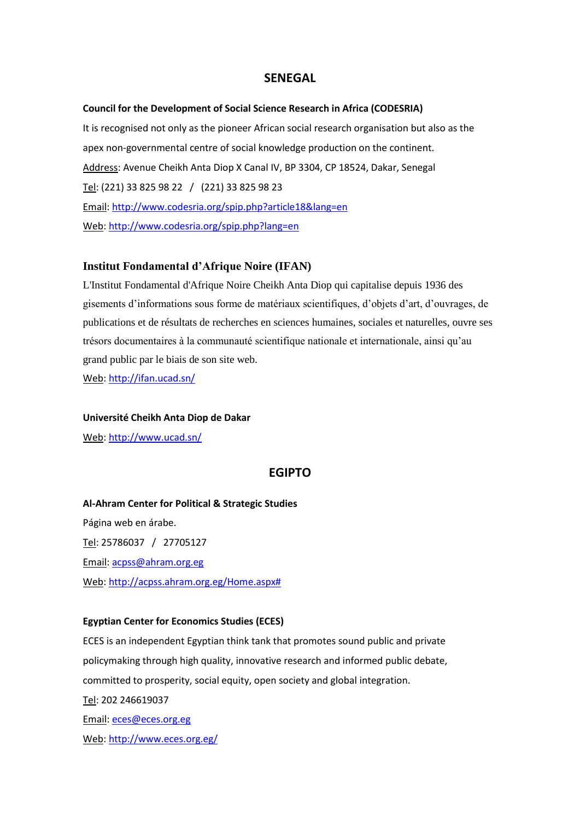# **SENEGAL**

#### **Council for the Development of Social Science Research in Africa (CODESRIA)**

It is recognised not only as the pioneer African social research organisation but also as the apex non-governmental centre of social knowledge production on the continent. Address: Avenue Cheikh Anta Diop X Canal IV, BP 3304, CP 18524, Dakar, Senegal Tel: (221) 33 825 98 22 / (221) 33 825 98 23 Email:<http://www.codesria.org/spip.php?article18&lang=en> Web[: http://www.codesria.org/spip.php?lang=en](http://www.codesria.org/spip.php?lang=en)

#### **Institut Fondamental d'Afrique Noire (IFAN)**

L'Institut Fondamental d'Afrique Noire Cheikh Anta Diop qui capitalise depuis 1936 des gisements d'informations sous forme de matériaux scientifiques, d'objets d'art, d'ouvrages, de publications et de résultats de recherches en sciences humaines, sociales et naturelles, ouvre ses trésors documentaires à la communauté scientifique nationale et internationale, ainsi qu'au grand public par le biais de son site web.

Web[: http://ifan.ucad.sn/](http://ifan.ucad.sn/)

#### **Université Cheikh Anta Diop de Dakar**

Web[: http://www.ucad.sn/](http://www.ucad.sn/)

#### **EGIPTO**

**Al-Ahram Center for Political & Strategic Studies** Página web en árabe. Tel: 25786037 / 27705127 Email: [acpss@ahram.org.eg](mailto:acpss@ahram.org.eg) Web[: http://acpss.ahram.org.eg/Home.aspx#](http://acpss.ahram.org.eg/Home.aspx)

#### **Egyptian Center for Economics Studies (ECES)**

ECES is an independent Egyptian think tank that promotes sound public and private policymaking through high quality, innovative research and informed public debate, committed to prosperity, social equity, open society and global integration.

Tel: 202 246619037

Email: [eces@eces.org.eg](mailto:eces@eces.org.eg)

Web[: http://www.eces.org.eg/](http://www.eces.org.eg/)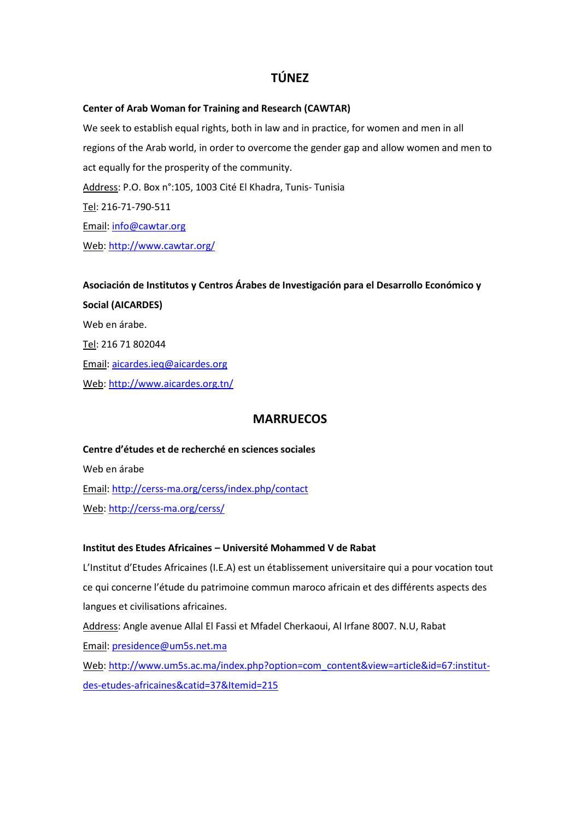# **TÚNEZ**

# **Center of Arab Woman for Training and Research (CAWTAR)**

We seek to establish equal rights, both in law and in practice, for women and men in all regions of the Arab world, in order to overcome the gender gap and allow women and men to act equally for the prosperity of the community. Address: P.O. Box n°:105, 1003 Cité El Khadra, Tunis- Tunisia Tel: 216-71-790-511 Email: [info@cawtar.org](mailto:info@cawtar.org) Web[: http://www.cawtar.org/](http://www.cawtar.org/)

**Asociación de Institutos y Centros Árabes de Investigación para el Desarrollo Económico y Social (AICARDES)** Web en árabe. Tel: 216 71 802044 Email: [aicardes.ieq@aicardes.org](mailto:aicardes.ieq@aicardes.org) Web[: http://www.aicardes.org.tn/](http://www.aicardes.org.tn/)

# **MARRUECOS**

**Centre d'études et de recherché en sciences sociales** Web en árabe Email:<http://cerss-ma.org/cerss/index.php/contact> Web: <http://cerss-ma.org/cerss/>

#### **Institut des Etudes Africaines – Université Mohammed V de Rabat**

L'Institut d'Etudes Africaines (I.E.A) est un établissement universitaire qui a pour vocation tout ce qui concerne l'étude du patrimoine commun maroco africain et des différents aspects des langues et civilisations africaines.

Address: Angle avenue Allal El Fassi et Mfadel Cherkaoui, Al Irfane 8007. N.U, Rabat Email: [presidence@um5s.net.ma](mailto:presidence@um5s.net.ma)

Web[: http://www.um5s.ac.ma/index.php?option=com\\_content&view=article&id=67:institut](http://www.um5s.ac.ma/index.php?option=com_content&view=article&id=67:institut-des-etudes-africaines&catid=37&Itemid=215)[des-etudes-africaines&catid=37&Itemid=215](http://www.um5s.ac.ma/index.php?option=com_content&view=article&id=67:institut-des-etudes-africaines&catid=37&Itemid=215)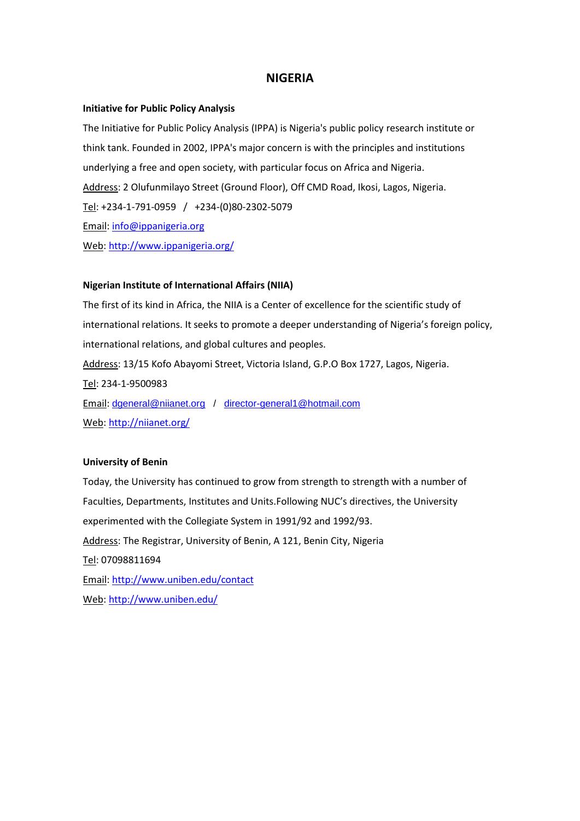# **NIGERIA**

#### **Initiative for Public Policy Analysis**

The Initiative for Public Policy Analysis (IPPA) is Nigeria's public policy research institute or think tank. Founded in 2002, IPPA's major concern is with the principles and institutions underlying a free and open society, with particular focus on Africa and Nigeria. Address: 2 Olufunmilayo Street (Ground Floor), Off CMD Road, Ikosi, Lagos, Nigeria. Tel: +234-1-791-0959 / +234-(0)80-2302-5079 Email: [info@ippanigeria.org](mailto:info@ippanigeria.org) Web[: http://www.ippanigeria.org/](http://www.ippanigeria.org/)

#### **Nigerian Institute of International Affairs (NIIA)**

The first of its kind in Africa, the NIIA is a Center of excellence for the scientific study of international relations. It seeks to promote a deeper understanding of Nigeria's foreign policy, international relations, and global cultures and peoples. Address: 13/15 Kofo Abayomi Street, Victoria Island, G.P.O Box 1727, Lagos, Nigeria. Tel: 234-1-9500983 Email: [dgeneral@niianet.org](mailto:dgeneral@niianet.org) / [director-general1@hotmail.com](mailto:director-general1@hotmail.com) Web[: http://niianet.org/](http://niianet.org/)

#### **University of Benin**

Today, the University has continued to grow from strength to strength with a number of Faculties, Departments, Institutes and Units.Following NUC's directives, the University experimented with the Collegiate System in 1991/92 and 1992/93. Address: The Registrar, University of Benin, A 121, Benin City, Nigeria Tel: 07098811694 Email:<http://www.uniben.edu/contact> Web[: http://www.uniben.edu/](http://www.uniben.edu/)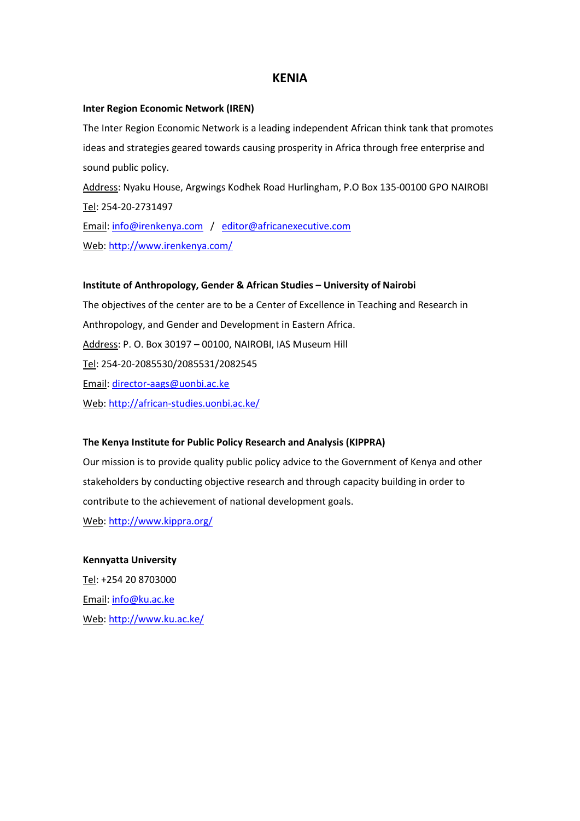# **KENIA**

#### **Inter Region Economic Network (IREN)**

Tel: 254-20-2731497

The Inter Region Economic Network is a leading independent African think tank that promotes ideas and strategies geared towards causing prosperity in Africa through free enterprise and sound public policy. Address: Nyaku House, Argwings Kodhek Road Hurlingham, P.O Box 135-00100 GPO NAIROBI

Email: [info@irenkenya.com](mailto:info@irenkenya.com) / [editor@africanexecutive.com](mailto:editor@africanexecutive.com) Web[: http://www.irenkenya.com/](http://www.irenkenya.com/)

#### **Institute of Anthropology, Gender & African Studies – University of Nairobi**

The objectives of the center are to be a Center of Excellence in Teaching and Research in Anthropology, and Gender and Development in Eastern Africa. Address: P. O. Box 30197 – 00100, NAIROBI, IAS Museum Hill Tel: 254-20-2085530/2085531/2082545 Email: [director-aags@uonbi.ac.ke](mailto:director-aags@uonbi.ac.ke) Web[: http://african-studies.uonbi.ac.ke/](http://african-studies.uonbi.ac.ke/)

#### **The Kenya Institute for Public Policy Research and Analysis (KIPPRA)**

Our mission is to provide quality public policy advice to the Government of Kenya and other stakeholders by conducting objective research and through capacity building in order to contribute to the achievement of national development goals. Web[: http://www.kippra.org/](http://www.kippra.org/)

#### **Kennyatta University**

Tel: +254 20 8703000 Email: [info@ku.ac.ke](mailto:info@ku.ac.ke) Web[: http://www.ku.ac.ke/](http://www.ku.ac.ke/)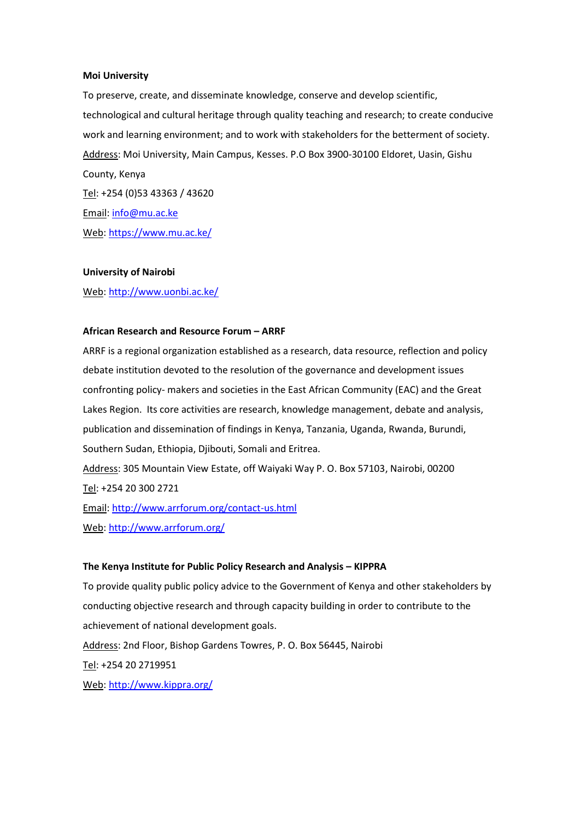#### **Moi University**

To preserve, create, and disseminate knowledge, conserve and develop scientific, technological and cultural heritage through quality teaching and research; to create conducive work and learning environment; and to work with stakeholders for the betterment of society. Address: Moi University, Main Campus, Kesses. P.O Box 3900-30100 Eldoret, Uasin, Gishu County, Kenya Tel: +254 (0)53 43363 / 43620 Email: [info@mu.ac.ke](mailto:info@mu.ac.ke) Web[: https://www.mu.ac.ke/](https://www.mu.ac.ke/)

#### **University of Nairobi**

Web[: http://www.uonbi.ac.ke/](http://www.uonbi.ac.ke/)

#### **African Research and Resource Forum – ARRF**

ARRF is a regional organization established as a research, data resource, reflection and policy debate institution devoted to the resolution of the governance and development issues confronting policy- makers and societies in the East African Community (EAC) and the Great Lakes Region. Its core activities are research, knowledge management, debate and analysis, publication and dissemination of findings in Kenya, Tanzania, Uganda, Rwanda, Burundi, Southern Sudan, Ethiopia, Djibouti, Somali and Eritrea.

Address: 305 Mountain View Estate, off Waiyaki Way P. O. Box 57103, Nairobi, 00200 Tel: +254 20 300 2721

Email:<http://www.arrforum.org/contact-us.html> Web[: http://www.arrforum.org/](http://www.arrforum.org/)

#### **The Kenya Institute for Public Policy Research and Analysis – KIPPRA**

To provide quality public policy advice to the Government of Kenya and other stakeholders by conducting objective research and through capacity building in order to contribute to the achievement of national development goals. Address: 2nd Floor, Bishop Gardens Towres, P. O. Box 56445, Nairobi Tel: +254 20 2719951 Web[: http://www.kippra.org/](http://www.kippra.org/)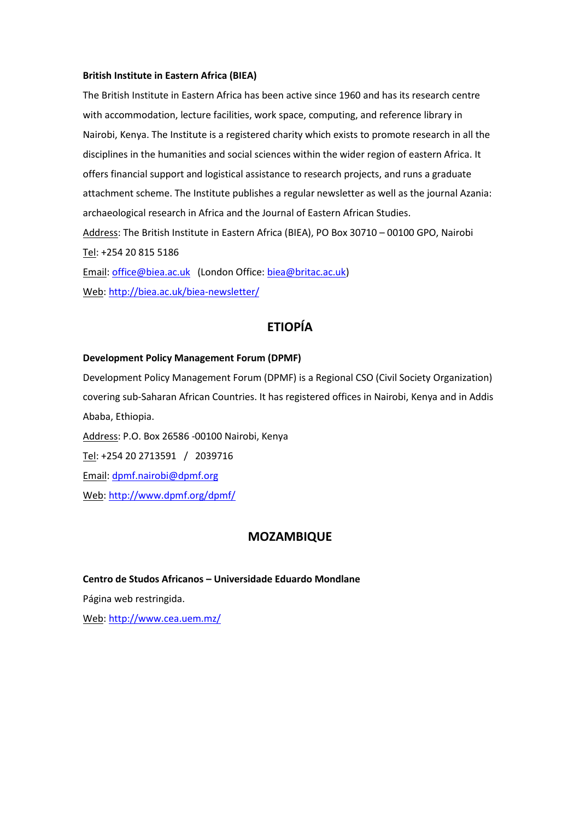#### **British Institute in Eastern Africa (BIEA)**

The British Institute in Eastern Africa has been active since 1960 and has its research centre with accommodation, lecture facilities, work space, computing, and reference library in Nairobi, Kenya. The Institute is a registered charity which exists to promote research in all the disciplines in the humanities and social sciences within the wider region of eastern Africa. It offers financial support and logistical assistance to research projects, and runs a graduate attachment scheme. The Institute publishes a regular newsletter as well as the journal Azania: archaeological research in Africa and the Journal of Eastern African Studies. Address: The British Institute in Eastern Africa (BIEA), PO Box 30710 – 00100 GPO, Nairobi Tel: +254 20 815 5186 Email: [office@biea.ac.uk](mailto:office@biea.ac.uk) (London Office: [biea@britac.ac.uk\)](mailto:biea@britac.ac.uk)

Web[: http://biea.ac.uk/biea-newsletter/](http://biea.ac.uk/biea-newsletter/)

# **ETIOPÍA**

#### **Development Policy Management Forum (DPMF)**

Development Policy Management Forum (DPMF) is a Regional CSO (Civil Society Organization) covering sub-Saharan African Countries. It has registered offices in Nairobi, Kenya and in Addis Ababa, Ethiopia. Address: P.O. Box 26586 -00100 Nairobi, Kenya Tel: +254 20 2713591 / 2039716 Email: [dpmf.nairobi@dpmf.org](mailto:dpmf.nairobi@dpmf.org) Web[: http://www.dpmf.org/dpmf/](http://www.dpmf.org/dpmf/)

# **MOZAMBIQUE**

#### **Centro de Studos Africanos – Universidade Eduardo Mondlane**

Página web restringida.

Web[: http://www.cea.uem.mz/](http://www.cea.uem.mz/)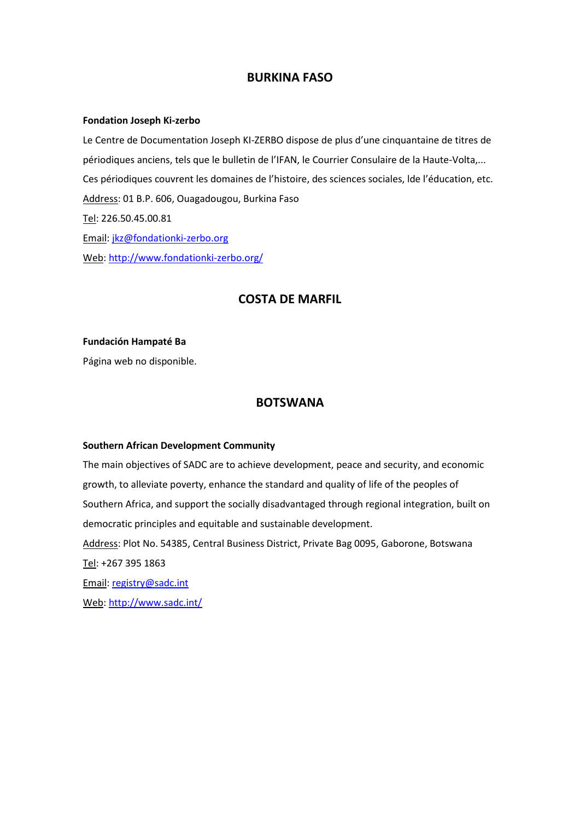# **BURKINA FASO**

#### **Fondation Joseph Ki-zerbo**

Le Centre de Documentation Joseph KI-ZERBO dispose de plus d'une cinquantaine de titres de périodiques anciens, tels que le bulletin de l'IFAN, le Courrier Consulaire de la Haute-Volta,... Ces périodiques couvrent les domaines de l'histoire, des sciences sociales, lde l'éducation, etc. Address: 01 B.P. 606, Ouagadougou, Burkina Faso Tel: 226.50.45.00.81 Email: [jkz@fondationki-zerbo.org](mailto:jkz@fondationki-zerbo.org) Web[: http://www.fondationki-zerbo.org/](http://www.fondationki-zerbo.org/)

# **COSTA DE MARFIL**

#### **Fundación Hampaté Ba**

Página web no disponible.

# **BOTSWANA**

#### **Southern African Development Community**

The main objectives of SADC are to achieve development, peace and security, and economic growth, to alleviate poverty, enhance the standard and quality of life of the peoples of Southern Africa, and support the socially disadvantaged through regional integration, built on democratic principles and equitable and sustainable development.

Address: Plot No. 54385, Central Business District, Private Bag 0095, Gaborone, Botswana Tel: +267 395 1863

Email: [registry@sadc.int](mailto:registry@sadc.int)

Web[: http://www.sadc.int/](http://www.sadc.int/)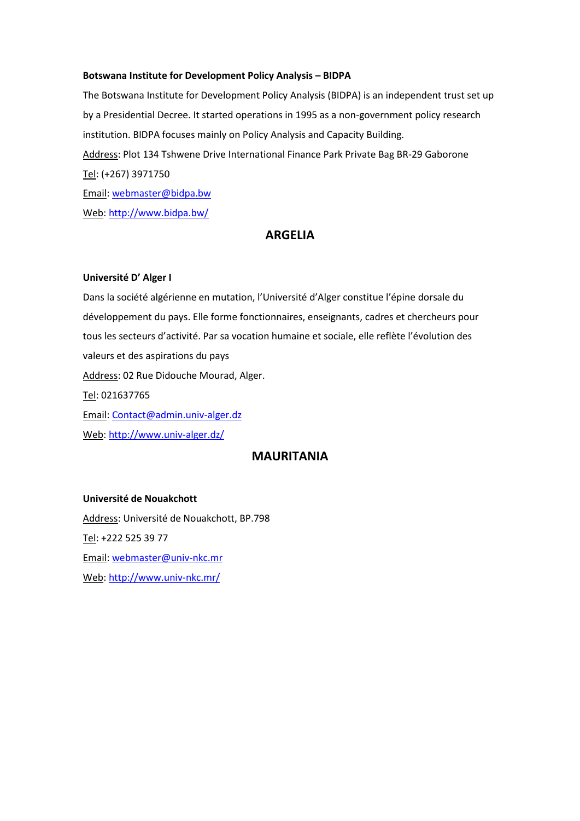#### **Botswana Institute for Development Policy Analysis – BIDPA**

The Botswana Institute for Development Policy Analysis (BIDPA) is an independent trust set up by a Presidential Decree. It started operations in 1995 as a non-government policy research institution. BIDPA focuses mainly on Policy Analysis and Capacity Building. Address: Plot 134 Tshwene Drive International Finance Park Private Bag BR-29 Gaborone Tel: (+267) 3971750 Email: [webmaster@bidpa.bw](mailto:webmaster@bidpa.bw) Web[: http://www.bidpa.bw/](http://www.bidpa.bw/)

# **ARGELIA**

#### **Université D' Alger I**

Dans la société algérienne en mutation, l'Université d'Alger constitue l'épine dorsale du développement du pays. Elle forme fonctionnaires, enseignants, cadres et chercheurs pour tous les secteurs d'activité. Par sa vocation humaine et sociale, elle reflète l'évolution des valeurs et des aspirations du pays Address: 02 Rue Didouche Mourad, Alger. Tel: 021637765 Email: [Contact@admin.univ-alger.dz](mailto:Contact@admin.univ-alger.dz)

Web[: http://www.univ-alger.dz/](http://www.univ-alger.dz/)

# **MAURITANIA**

#### **Université de Nouakchott**

Address: Université de Nouakchott, BP.798 Tel: +222 525 39 77 Email: [webmaster@univ-nkc.mr](mailto:webmaster@univ-nkc.mr) Web[: http://www.univ-nkc.mr/](http://www.univ-nkc.mr/)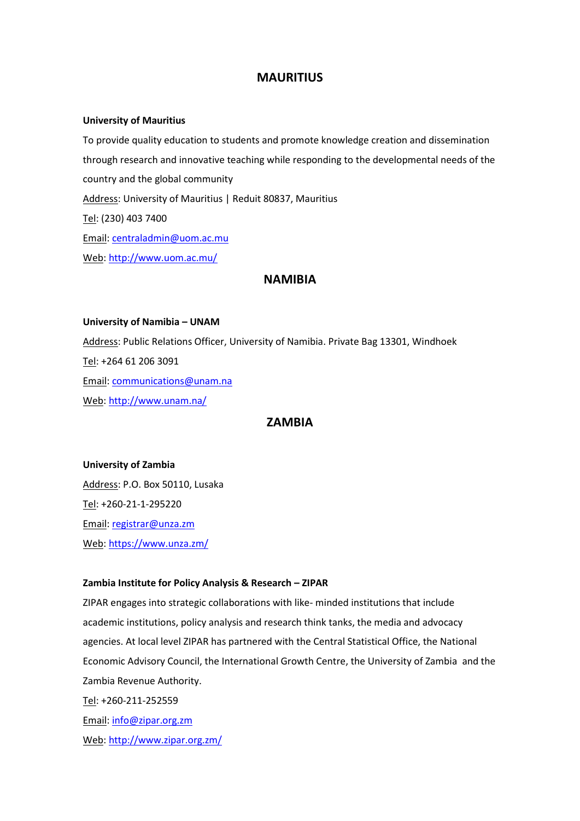# **MAURITIUS**

#### **University of Mauritius**

To provide quality education to students and promote knowledge creation and dissemination through research and innovative teaching while responding to the developmental needs of the country and the global community Address: University of Mauritius | Reduit 80837, Mauritius Tel: (230) 403 7400 Email: [centraladmin@uom.ac.mu](mailto:centraladmin@uom.ac.mu) Web[: http://www.uom.ac.mu/](http://www.uom.ac.mu/)

# **NAMIBIA**

**University of Namibia – UNAM** Address: Public Relations Officer, University of Namibia. Private Bag 13301, Windhoek Tel: +264 61 206 3091 Email: [communications@unam.na](mailto:communications@unam.na) Web[: http://www.unam.na/](http://www.unam.na/)

# **ZAMBIA**

#### **University of Zambia**

Address: P.O. Box 50110, Lusaka Tel: +260-21-1-295220 Email: [registrar@unza.zm](mailto:registrar@unza.zm) Web[: https://www.unza.zm/](https://www.unza.zm/)

#### **Zambia Institute for Policy Analysis & Research – ZIPAR**

ZIPAR engages into strategic collaborations with like- minded institutions that include academic institutions, policy analysis and research think tanks, the media and advocacy agencies. At local level ZIPAR has partnered with the Central Statistical Office, the National Economic Advisory Council, the International Growth Centre, the University of Zambia and the Zambia Revenue Authority. Tel: +260-211-252559 Email: [info@zipar.org.zm](mailto:info@zipar.org.zm) Web[: http://www.zipar.org.zm/](http://www.zipar.org.zm/)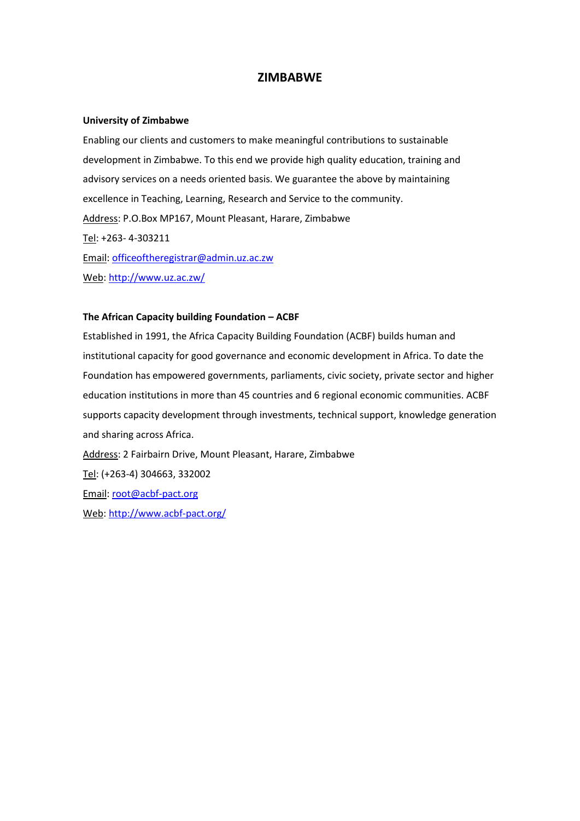# **ZIMBABWE**

#### **University of Zimbabwe**

Enabling our clients and customers to make meaningful contributions to sustainable development in Zimbabwe. To this end we provide high quality education, training and advisory services on a needs oriented basis. We guarantee the above by maintaining excellence in Teaching, Learning, Research and Service to the community. Address: P.O.Box MP167, Mount Pleasant, Harare, Zimbabwe Tel: +263- 4-303211 Email: [officeoftheregistrar@admin.uz.ac.zw](mailto:officeoftheregistrar@admin.uz.ac.zw) Web[: http://www.uz.ac.zw/](http://www.uz.ac.zw/)

#### **The African Capacity building Foundation – ACBF**

Established in 1991, the Africa Capacity Building Foundation (ACBF) builds human and institutional capacity for good governance and economic development in Africa. To date the Foundation has empowered governments, parliaments, civic society, private sector and higher education institutions in more than 45 countries and 6 regional economic communities. ACBF supports capacity development through investments, technical support, knowledge generation and sharing across Africa. Address: 2 Fairbairn Drive, Mount Pleasant, Harare, Zimbabwe

Tel: (+263-4) 304663, 332002 Email: [root@acbf-pact.org](mailto:root@acbf-pact.org) Web[: http://www.acbf-pact.org/](http://www.acbf-pact.org/)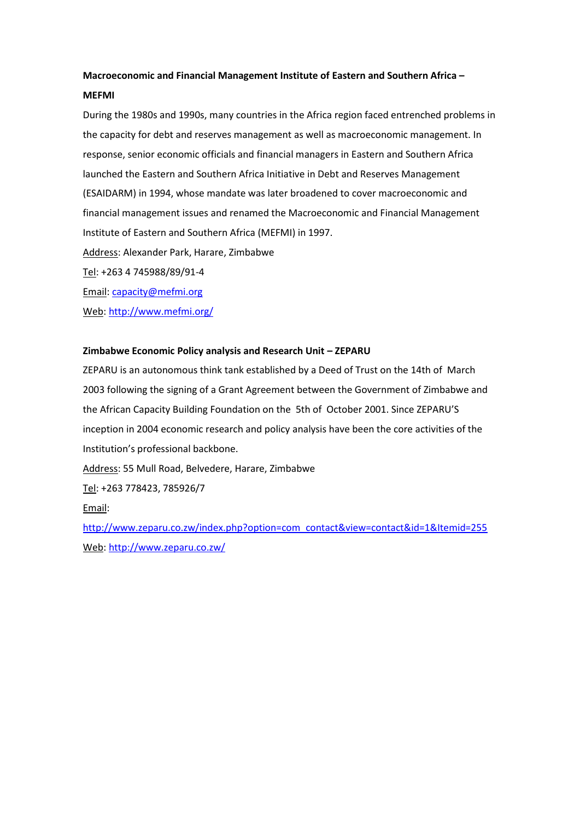# **Macroeconomic and Financial Management Institute of Eastern and Southern Africa – MEFMI**

During the 1980s and 1990s, many countries in the Africa region faced entrenched problems in the capacity for debt and reserves management as well as macroeconomic management. In response, senior economic officials and financial managers in Eastern and Southern Africa launched the Eastern and Southern Africa Initiative in Debt and Reserves Management (ESAIDARM) in 1994, whose mandate was later broadened to cover macroeconomic and financial management issues and renamed the Macroeconomic and Financial Management Institute of Eastern and Southern Africa (MEFMI) in 1997. Address: Alexander Park, Harare, Zimbabwe Tel: +263 4 745988/89/91-4

Email: [capacity@mefmi.org](mailto:capacity@mefmi.org)

Web[: http://www.mefmi.org/](http://www.mefmi.org/)

### **Zimbabwe Economic Policy analysis and Research Unit – ZEPARU**

ZEPARU is an autonomous think tank established by a Deed of Trust on the 14th of March 2003 following the signing of a Grant Agreement between the Government of Zimbabwe and the African Capacity Building Foundation on the 5th of October 2001. Since ZEPARU'S inception in 2004 economic research and policy analysis have been the core activities of the Institution's professional backbone.

Address: 55 Mull Road, Belvedere, Harare, Zimbabwe

Tel: +263 778423, 785926/7

Email:

[http://www.zeparu.co.zw/index.php?option=com\\_contact&view=contact&id=1&Itemid=255](http://www.zeparu.co.zw/index.php?option=com_contact&view=contact&id=1&Itemid=255) Web[: http://www.zeparu.co.zw/](http://www.zeparu.co.zw/)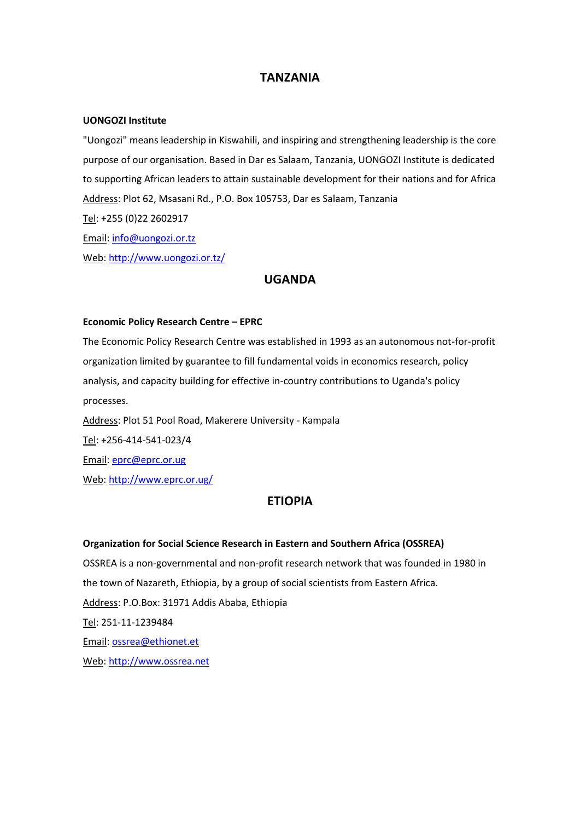# **TANZANIA**

#### **UONGOZI Institute**

"Uongozi" means leadership in Kiswahili, and inspiring and strengthening leadership is the core purpose of our organisation. Based in Dar es Salaam, Tanzania, UONGOZI Institute is dedicated to supporting African leaders to attain sustainable development for their nations and for Africa Address: Plot 62, Msasani Rd., P.O. Box 105753, Dar es Salaam, Tanzania Tel: +255 (0)22 2602917 Email: [info@uongozi.or.tz](mailto:info@uongozi.or.tz) Web[: http://www.uongozi.or.tz/](http://www.uongozi.or.tz/)

# **UGANDA**

#### **Economic Policy Research Centre – EPRC**

The Economic Policy Research Centre was established in 1993 as an autonomous not-for-profit organization limited by guarantee to fill fundamental voids in economics research, policy analysis, and capacity building for effective in-country contributions to Uganda's policy processes. Address: Plot 51 Pool Road, Makerere University - Kampala

Tel: +256-414-541-023/4

Email: [eprc@eprc.or.ug](mailto:eprc@eprc.or.ug)

Web[: http://www.eprc.or.ug/](http://www.eprc.or.ug/)

# **ETIOPIA**

#### **Organization for Social Science Research in Eastern and Southern Africa (OSSREA)**

OSSREA is a non-governmental and non-profit research network that was founded in 1980 in the town of Nazareth, Ethiopia, by a group of social scientists from Eastern Africa. Address: P.O.Box: 31971 Addis Ababa, Ethiopia Tel: 251-11-1239484 Email: [ossrea@ethionet.et](mailto:ossrea@ethionet.et) Web[: http://www.ossrea.net](http://www.ossrea.net/)